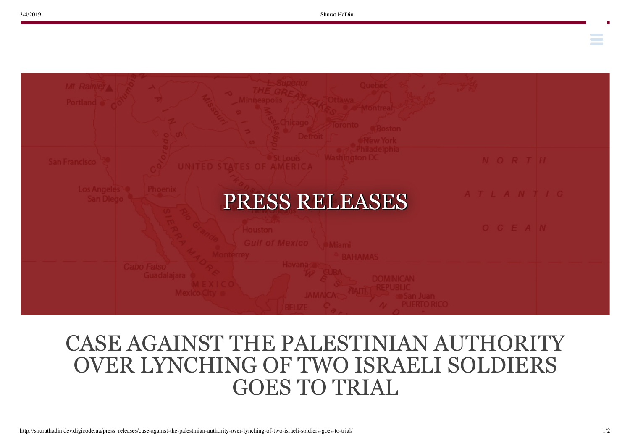**Contract Contract** 



## CASE AGAINST THE PALESTINIAN AUTHORITY OVER LYNCHING OF TWO ISRAELI SOLDIERS GOES TO TRIAL